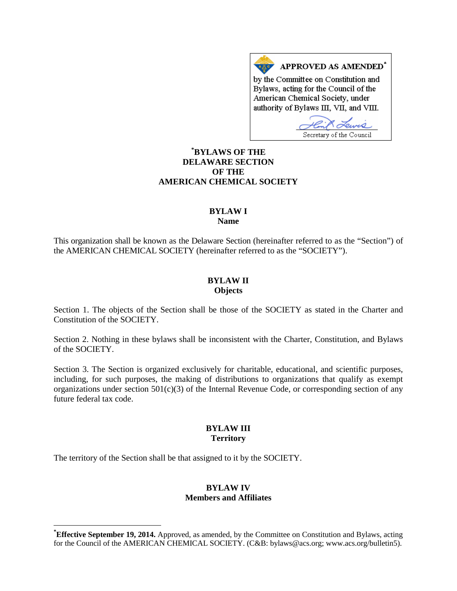APPROVED AS AMENDED\* by the Committee on Constitution and Bylaws, acting for the Council of the American Chemical Society, under authority of Bylaws III, VII, and VIII.

Secretary of the Council

# **[\\*](#page-0-0) BYLAWS OF THE DELAWARE SECTION OF THE AMERICAN CHEMICAL SOCIETY**

### **BYLAW I Name**

This organization shall be known as the Delaware Section (hereinafter referred to as the "Section") of the AMERICAN CHEMICAL SOCIETY (hereinafter referred to as the "SOCIETY").

### **BYLAW II Objects**

Section 1. The objects of the Section shall be those of the SOCIETY as stated in the Charter and Constitution of the SOCIETY.

Section 2. Nothing in these bylaws shall be inconsistent with the Charter, Constitution, and Bylaws of the SOCIETY.

Section 3. The Section is organized exclusively for charitable, educational, and scientific purposes, including, for such purposes, the making of distributions to organizations that qualify as exempt organizations under section  $501(c)(3)$  of the Internal Revenue Code, or corresponding section of any future federal tax code.

### **BYLAW III Territory**

The territory of the Section shall be that assigned to it by the SOCIETY.

### **BYLAW IV Members and Affiliates**

<span id="page-0-0"></span>**\* Effective September 19, 2014.** Approved, as amended, by the Committee on Constitution and Bylaws, acting for the Council of the AMERICAN CHEMICAL SOCIETY. (C&B: bylaws@acs.org; www.acs.org/bulletin5).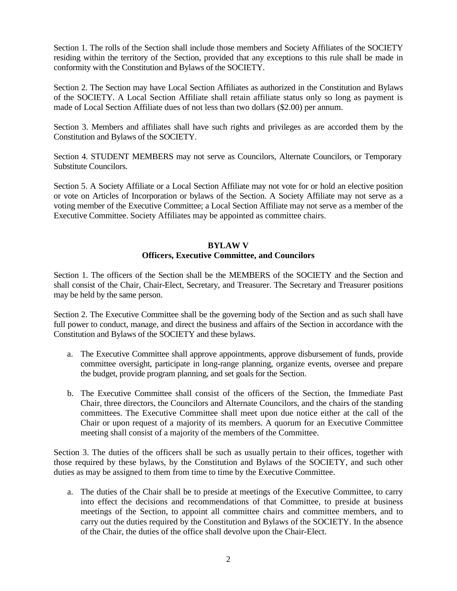Section 1. The rolls of the Section shall include those members and Society Affiliates of the SOCIETY residing within the territory of the Section, provided that any exceptions to this rule shall be made in conformity with the Constitution and Bylaws of the SOCIETY.

Section 2. The Section may have Local Section Affiliates as authorized in the Constitution and Bylaws of the SOCIETY. A Local Section Affiliate shall retain affiliate status only so long as payment is made of Local Section Affiliate dues of not less than two dollars (\$2.00) per annum.

Section 3. Members and affiliates shall have such rights and privileges as are accorded them by the Constitution and Bylaws of the SOCIETY.

Section 4. STUDENT MEMBERS may not serve as Councilors, Alternate Councilors, or Temporary Substitute Councilors.

Section 5. A Society Affiliate or a Local Section Affiliate may not vote for or hold an elective position or vote on Articles of Incorporation or bylaws of the Section. A Society Affiliate may not serve as a voting member of the Executive Committee; a Local Section Affiliate may not serve as a member of the Executive Committee. Society Affiliates may be appointed as committee chairs.

### **BYLAW V Officers, Executive Committee, and Councilors**

Section 1. The officers of the Section shall be the MEMBERS of the SOCIETY and the Section and shall consist of the Chair, Chair-Elect, Secretary, and Treasurer. The Secretary and Treasurer positions may be held by the same person.

Section 2. The Executive Committee shall be the governing body of the Section and as such shall have full power to conduct, manage, and direct the business and affairs of the Section in accordance with the Constitution and Bylaws of the SOCIETY and these bylaws.

- a. The Executive Committee shall approve appointments, approve disbursement of funds, provide committee oversight, participate in long-range planning, organize events, oversee and prepare the budget, provide program planning, and set goals for the Section.
- b. The Executive Committee shall consist of the officers of the Section, the Immediate Past Chair, three directors, the Councilors and Alternate Councilors, and the chairs of the standing committees. The Executive Committee shall meet upon due notice either at the call of the Chair or upon request of a majority of its members. A quorum for an Executive Committee meeting shall consist of a majority of the members of the Committee.

Section 3. The duties of the officers shall be such as usually pertain to their offices, together with those required by these bylaws, by the Constitution and Bylaws of the SOCIETY, and such other duties as may be assigned to them from time to time by the Executive Committee.

a. The duties of the Chair shall be to preside at meetings of the Executive Committee, to carry into effect the decisions and recommendations of that Committee, to preside at business meetings of the Section, to appoint all committee chairs and committee members, and to carry out the duties required by the Constitution and Bylaws of the SOCIETY. In the absence of the Chair, the duties of the office shall devolve upon the Chair-Elect.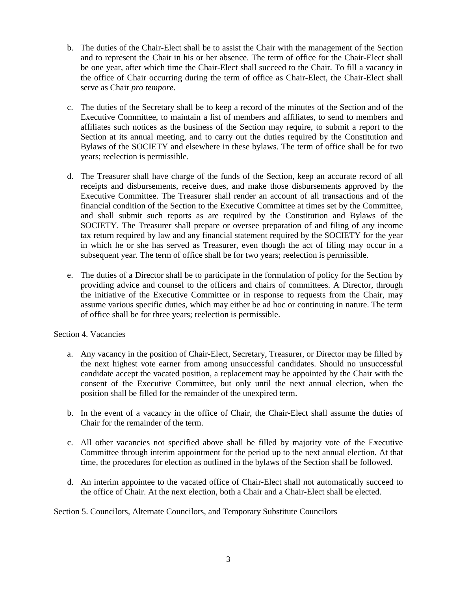- b. The duties of the Chair-Elect shall be to assist the Chair with the management of the Section and to represent the Chair in his or her absence. The term of office for the Chair-Elect shall be one year, after which time the Chair-Elect shall succeed to the Chair. To fill a vacancy in the office of Chair occurring during the term of office as Chair-Elect, the Chair-Elect shall serve as Chair *pro tempore*.
- c. The duties of the Secretary shall be to keep a record of the minutes of the Section and of the Executive Committee, to maintain a list of members and affiliates, to send to members and affiliates such notices as the business of the Section may require, to submit a report to the Section at its annual meeting, and to carry out the duties required by the Constitution and Bylaws of the SOCIETY and elsewhere in these bylaws. The term of office shall be for two years; reelection is permissible.
- d. The Treasurer shall have charge of the funds of the Section, keep an accurate record of all receipts and disbursements, receive dues, and make those disbursements approved by the Executive Committee. The Treasurer shall render an account of all transactions and of the financial condition of the Section to the Executive Committee at times set by the Committee, and shall submit such reports as are required by the Constitution and Bylaws of the SOCIETY. The Treasurer shall prepare or oversee preparation of and filing of any income tax return required by law and any financial statement required by the SOCIETY for the year in which he or she has served as Treasurer, even though the act of filing may occur in a subsequent year. The term of office shall be for two years; reelection is permissible.
- e. The duties of a Director shall be to participate in the formulation of policy for the Section by providing advice and counsel to the officers and chairs of committees. A Director, through the initiative of the Executive Committee or in response to requests from the Chair, may assume various specific duties, which may either be ad hoc or continuing in nature. The term of office shall be for three years; reelection is permissible.

# Section 4. Vacancies

- a. Any vacancy in the position of Chair-Elect, Secretary, Treasurer, or Director may be filled by the next highest vote earner from among unsuccessful candidates. Should no unsuccessful candidate accept the vacated position, a replacement may be appointed by the Chair with the consent of the Executive Committee, but only until the next annual election, when the position shall be filled for the remainder of the unexpired term.
- b. In the event of a vacancy in the office of Chair, the Chair-Elect shall assume the duties of Chair for the remainder of the term.
- c. All other vacancies not specified above shall be filled by majority vote of the Executive Committee through interim appointment for the period up to the next annual election. At that time, the procedures for election as outlined in the bylaws of the Section shall be followed.
- d. An interim appointee to the vacated office of Chair-Elect shall not automatically succeed to the office of Chair. At the next election, both a Chair and a Chair-Elect shall be elected.

Section 5. Councilors, Alternate Councilors, and Temporary Substitute Councilors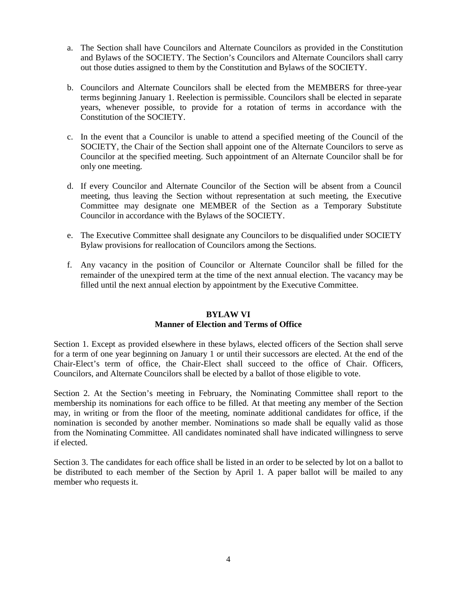- a. The Section shall have Councilors and Alternate Councilors as provided in the Constitution and Bylaws of the SOCIETY. The Section's Councilors and Alternate Councilors shall carry out those duties assigned to them by the Constitution and Bylaws of the SOCIETY.
- b. Councilors and Alternate Councilors shall be elected from the MEMBERS for three-year terms beginning January 1. Reelection is permissible. Councilors shall be elected in separate years, whenever possible, to provide for a rotation of terms in accordance with the Constitution of the SOCIETY.
- c. In the event that a Councilor is unable to attend a specified meeting of the Council of the SOCIETY, the Chair of the Section shall appoint one of the Alternate Councilors to serve as Councilor at the specified meeting. Such appointment of an Alternate Councilor shall be for only one meeting.
- d. If every Councilor and Alternate Councilor of the Section will be absent from a Council meeting, thus leaving the Section without representation at such meeting, the Executive Committee may designate one MEMBER of the Section as a Temporary Substitute Councilor in accordance with the Bylaws of the SOCIETY.
- e. The Executive Committee shall designate any Councilors to be disqualified under SOCIETY Bylaw provisions for reallocation of Councilors among the Sections.
- f. Any vacancy in the position of Councilor or Alternate Councilor shall be filled for the remainder of the unexpired term at the time of the next annual election. The vacancy may be filled until the next annual election by appointment by the Executive Committee.

# **BYLAW VI**

# **Manner of Election and Terms of Office**

Section 1. Except as provided elsewhere in these bylaws, elected officers of the Section shall serve for a term of one year beginning on January 1 or until their successors are elected. At the end of the Chair-Elect's term of office, the Chair-Elect shall succeed to the office of Chair. Officers, Councilors, and Alternate Councilors shall be elected by a ballot of those eligible to vote.

Section 2. At the Section's meeting in February, the Nominating Committee shall report to the membership its nominations for each office to be filled. At that meeting any member of the Section may, in writing or from the floor of the meeting, nominate additional candidates for office, if the nomination is seconded by another member. Nominations so made shall be equally valid as those from the Nominating Committee. All candidates nominated shall have indicated willingness to serve if elected.

Section 3. The candidates for each office shall be listed in an order to be selected by lot on a ballot to be distributed to each member of the Section by April 1. A paper ballot will be mailed to any member who requests it.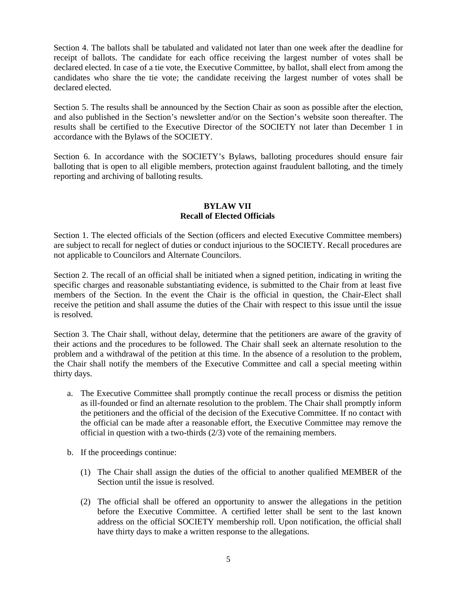Section 4. The ballots shall be tabulated and validated not later than one week after the deadline for receipt of ballots. The candidate for each office receiving the largest number of votes shall be declared elected. In case of a tie vote, the Executive Committee, by ballot, shall elect from among the candidates who share the tie vote; the candidate receiving the largest number of votes shall be declared elected.

Section 5. The results shall be announced by the Section Chair as soon as possible after the election, and also published in the Section's newsletter and/or on the Section's website soon thereafter. The results shall be certified to the Executive Director of the SOCIETY not later than December 1 in accordance with the Bylaws of the SOCIETY.

Section 6. In accordance with the SOCIETY's Bylaws, balloting procedures should ensure fair balloting that is open to all eligible members, protection against fraudulent balloting, and the timely reporting and archiving of balloting results.

# **BYLAW VII Recall of Elected Officials**

Section 1. The elected officials of the Section (officers and elected Executive Committee members) are subject to recall for neglect of duties or conduct injurious to the SOCIETY. Recall procedures are not applicable to Councilors and Alternate Councilors.

Section 2. The recall of an official shall be initiated when a signed petition, indicating in writing the specific charges and reasonable substantiating evidence, is submitted to the Chair from at least five members of the Section. In the event the Chair is the official in question, the Chair-Elect shall receive the petition and shall assume the duties of the Chair with respect to this issue until the issue is resolved.

Section 3. The Chair shall, without delay, determine that the petitioners are aware of the gravity of their actions and the procedures to be followed. The Chair shall seek an alternate resolution to the problem and a withdrawal of the petition at this time. In the absence of a resolution to the problem, the Chair shall notify the members of the Executive Committee and call a special meeting within thirty days.

- a. The Executive Committee shall promptly continue the recall process or dismiss the petition as ill-founded or find an alternate resolution to the problem. The Chair shall promptly inform the petitioners and the official of the decision of the Executive Committee. If no contact with the official can be made after a reasonable effort, the Executive Committee may remove the official in question with a two-thirds (2/3) vote of the remaining members.
- b. If the proceedings continue:
	- (1) The Chair shall assign the duties of the official to another qualified MEMBER of the Section until the issue is resolved.
	- (2) The official shall be offered an opportunity to answer the allegations in the petition before the Executive Committee. A certified letter shall be sent to the last known address on the official SOCIETY membership roll. Upon notification, the official shall have thirty days to make a written response to the allegations.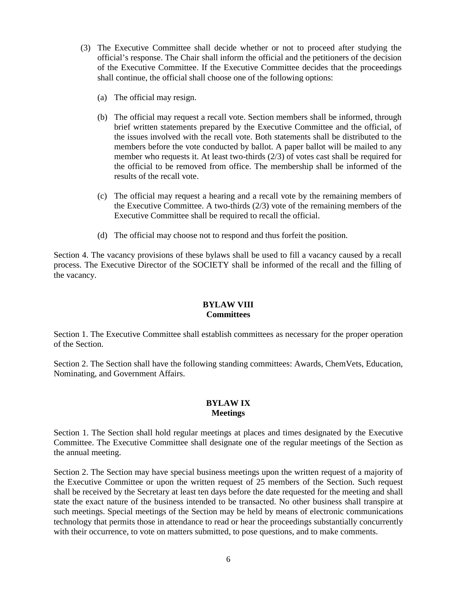- (3) The Executive Committee shall decide whether or not to proceed after studying the official's response. The Chair shall inform the official and the petitioners of the decision of the Executive Committee. If the Executive Committee decides that the proceedings shall continue, the official shall choose one of the following options:
	- (a) The official may resign.
	- (b) The official may request a recall vote. Section members shall be informed, through brief written statements prepared by the Executive Committee and the official, of the issues involved with the recall vote. Both statements shall be distributed to the members before the vote conducted by ballot. A paper ballot will be mailed to any member who requests it. At least two-thirds (2/3) of votes cast shall be required for the official to be removed from office. The membership shall be informed of the results of the recall vote.
	- (c) The official may request a hearing and a recall vote by the remaining members of the Executive Committee. A two-thirds (2/3) vote of the remaining members of the Executive Committee shall be required to recall the official.
	- (d) The official may choose not to respond and thus forfeit the position.

Section 4. The vacancy provisions of these bylaws shall be used to fill a vacancy caused by a recall process. The Executive Director of the SOCIETY shall be informed of the recall and the filling of the vacancy.

# **BYLAW VIII Committees**

Section 1. The Executive Committee shall establish committees as necessary for the proper operation of the Section.

Section 2. The Section shall have the following standing committees: Awards, ChemVets, Education, Nominating, and Government Affairs.

### **BYLAW IX Meetings**

Section 1. The Section shall hold regular meetings at places and times designated by the Executive Committee. The Executive Committee shall designate one of the regular meetings of the Section as the annual meeting.

Section 2. The Section may have special business meetings upon the written request of a majority of the Executive Committee or upon the written request of 25 members of the Section. Such request shall be received by the Secretary at least ten days before the date requested for the meeting and shall state the exact nature of the business intended to be transacted. No other business shall transpire at such meetings. Special meetings of the Section may be held by means of electronic communications technology that permits those in attendance to read or hear the proceedings substantially concurrently with their occurrence, to vote on matters submitted, to pose questions, and to make comments.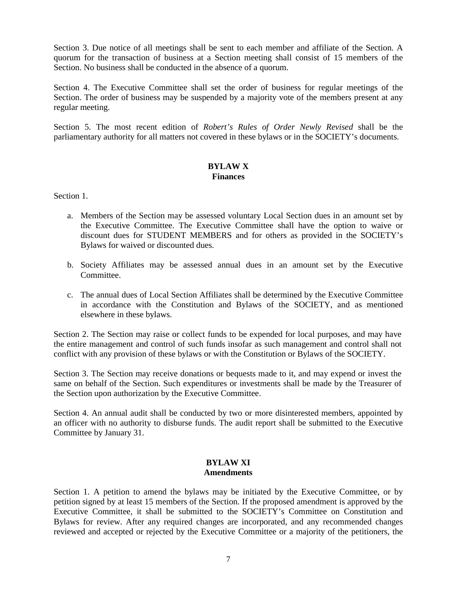Section 3. Due notice of all meetings shall be sent to each member and affiliate of the Section. A quorum for the transaction of business at a Section meeting shall consist of 15 members of the Section. No business shall be conducted in the absence of a quorum.

Section 4. The Executive Committee shall set the order of business for regular meetings of the Section. The order of business may be suspended by a majority vote of the members present at any regular meeting.

Section 5. The most recent edition of *Robert's Rules of Order Newly Revised* shall be the parliamentary authority for all matters not covered in these bylaws or in the SOCIETY's documents.

# **BYLAW X Finances**

Section 1.

- a. Members of the Section may be assessed voluntary Local Section dues in an amount set by the Executive Committee. The Executive Committee shall have the option to waive or discount dues for STUDENT MEMBERS and for others as provided in the SOCIETY's Bylaws for waived or discounted dues.
- b. Society Affiliates may be assessed annual dues in an amount set by the Executive Committee.
- c. The annual dues of Local Section Affiliates shall be determined by the Executive Committee in accordance with the Constitution and Bylaws of the SOCIETY, and as mentioned elsewhere in these bylaws.

Section 2. The Section may raise or collect funds to be expended for local purposes, and may have the entire management and control of such funds insofar as such management and control shall not conflict with any provision of these bylaws or with the Constitution or Bylaws of the SOCIETY.

Section 3. The Section may receive donations or bequests made to it, and may expend or invest the same on behalf of the Section. Such expenditures or investments shall be made by the Treasurer of the Section upon authorization by the Executive Committee.

Section 4. An annual audit shall be conducted by two or more disinterested members, appointed by an officer with no authority to disburse funds. The audit report shall be submitted to the Executive Committee by January 31.

### **BYLAW XI Amendments**

Section 1. A petition to amend the bylaws may be initiated by the Executive Committee, or by petition signed by at least 15 members of the Section. If the proposed amendment is approved by the Executive Committee, it shall be submitted to the SOCIETY's Committee on Constitution and Bylaws for review. After any required changes are incorporated, and any recommended changes reviewed and accepted or rejected by the Executive Committee or a majority of the petitioners, the